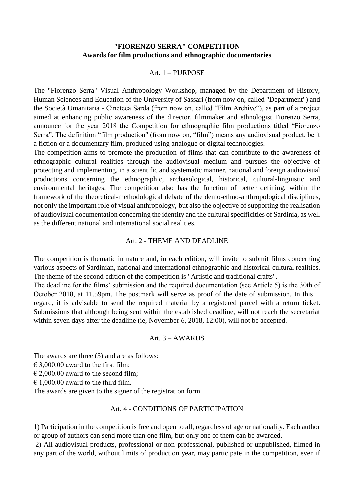# **"FIORENZO SERRA" COMPETITION Awards for film productions and ethnographic documentaries**

#### Art. 1 – PURPOSE

The "Fiorenzo Serra" Visual Anthropology Workshop, managed by the Department of History, Human Sciences and Education of the University of Sassari (from now on, called "Department") and the Società Umanitaria - Cineteca Sarda (from now on, called "Film Archive"), as part of a project aimed at enhancing public awareness of the director, filmmaker and ethnologist Fiorenzo Serra, announce for the year 2018 the Competition for ethnographic film productions titled "Fiorenzo Serra". The definition "film production" (from now on, "film") means any audiovisual product, be it a fiction or a documentary film, produced using analogue or digital technologies.

The competition aims to promote the production of films that can contribute to the awareness of ethnographic cultural realities through the audiovisual medium and pursues the objective of protecting and implementing, in a scientific and systematic manner, national and foreign audiovisual productions concerning the ethnographic, archaeological, historical, cultural-linguistic and environmental heritages. The competition also has the function of better defining, within the framework of the theoretical-methodological debate of the demo-ethno-anthropological disciplines, not only the important role of visual anthropology, but also the objective of supporting the realisation of audiovisual documentation concerning the identity and the cultural specificities of Sardinia, as well as the different national and international social realities.

#### Art. 2 - THEME AND DEADLINE

The competition is thematic in nature and, in each edition, will invite to submit films concerning various aspects of Sardinian, national and international ethnographic and historical-cultural realities. The theme of the second edition of the competition is "Artistic and traditional crafts". The deadline for the films' submission and the required documentation (see Article 5) is the 30th of October 2018, at 11.59pm. The postmark will serve as proof of the date of submission. In this regard, it is advisable to send the required material by a registered parcel with a return ticket. Submissions that although being sent within the established deadline, will not reach the secretariat within seven days after the deadline (ie, November 6, 2018, 12:00), will not be accepted.

#### Art. 3 – AWARDS

The awards are three (3) and are as follows:  $\epsilon$  3,000,00 award to the first film;  $\epsilon$  2.000.00 award to the second film:  $\epsilon$  1,000.00 award to the third film.

The awards are given to the signer of the registration form.

### Art. 4 - CONDITIONS OF PARTICIPATION

1) Participation in the competition is free and open to all, regardless of age or nationality. Each author or group of authors can send more than one film, but only one of them can be awarded.

2) All audiovisual products, professional or non-professional, published or unpublished, filmed in any part of the world, without limits of production year, may participate in the competition, even if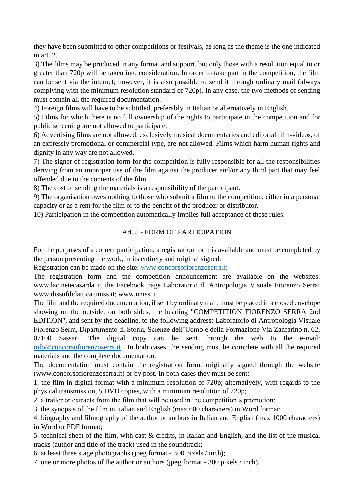they have been submitted to other competitions or festivals, as long as the theme is the one indicated in art. 2.

3) The films may be produced in any format and support, but only those with a resolution equal to or greater than 720p will be taken into consideration. In order to take part in the competition, the film can be sent via the internet; however, it is also possible to send it through ordinary mail (always complying with the minimum resolution standard of 720p). In any case, the two methods of sending must contain all the required documentation.

4) Foreign films will have to be subtitled, preferably in Italian or alternatively in English.

5) Films for which there is no full ownership of the rights to participate in the competition and for public screening are not allowed to participate.

6) Advertising films are not allowed, exclusively musical documentaries and editorial film-videos, of an expressly promotional or commercial type, are not allowed. Films which harm human rights and dignity in any way are not allowed.

7) The signer of registration form for the competition is fully responsible for all the responsibilities deriving from an improper use of the film against the producer and/or any third part that may feel offended due to the contents of the film.

8) The cost of sending the materials is a responsibility of the participant.

9) The organisation owes nothing to those who submit a film to the competition, either in a personal capacity or as a rent for the film or to the benefit of the producer or distributor.

10) Participation in the competition automatically implies full acceptance of these rules.

# Art. 5 - FORM OF PARTICIPATION

For the purposes of a correct participation, a registration form is available and must be completed by the person presenting the work, in its entirety and original signed.

Registration can be made on the site: [www.concorsofiorenzoserra.it](http://www.concorsofiorenzoserra.it/)

The registration form and the competition announcement are available on the websites: www.lacinetecasarda.it; the Facebook page Laboratorio di Antropologia Visuale Fiorenzo Serra; www.dissufdidattica.uniss.it; www.uniss.it.

The film and the required documentation, if sent by ordinary mail, must be placed in a closed envelope showing on the outside, on both sides, the heading "COMPETITION FIORENZO SERRA 2nd EDITION", and sent by the deadline, to the following address: Laboratorio di Antropologia Visuale Fiorenzo Serra, Dipartimento di Storia, Scienze dell'Uomo e della Formazione Via Zanfarino n. 62, 07100 Sassari. The digital copy can be sent through the web to the e-mail: [info@concorsofiorenzoserra.it](mailto:info@concorsofiorenzoserra.it) . In both cases, the sending must be complete with all the required materials and the complete documentation.

The documentation must contain the registration form, originally signed through the website (www.concorsofiorenzoserra.it) or by post. In both cases they must be sent:

1. the film in digital format with a minimum resolution of 720p; alternatively, with regards to the physical transmission, 5 DVD copies, with a minimum resolution of 720p;

2. a trailer or extracts from the film that will be used in the competition's promotion;

3. the synopsis of the film in Italian and English (max 600 characters) in Word format;

4. biography and filmography of the author or authors in Italian and English (max 1000 characters) in Word or PDF format;

5. technical sheet of the film, with cast & credits, in Italian and English, and the list of the musical tracks (author and title of the track) used in the soundtrack;

6. at least three stage photographs (jpeg format - 300 pixels / inch);

7. one or more photos of the author or authors (jpeg format - 300 pixels / inch).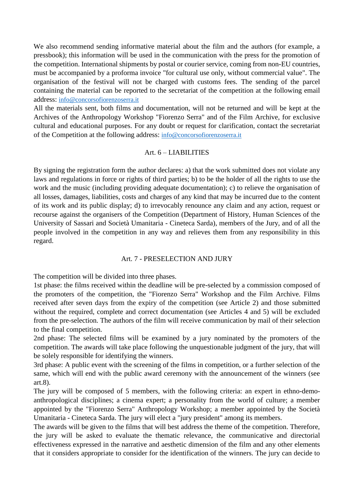We also recommend sending informative material about the film and the authors (for example, a pressbook); this information will be used in the communication with the press for the promotion of the competition. International shipments by postal or courier service, coming from non-EU countries, must be accompanied by a proforma invoice "for cultural use only, without commercial value". The organisation of the festival will not be charged with customs fees. The sending of the parcel containing the material can be reported to the secretariat of the competition at the following email address: [info@concorsofiorenzoserra.it](mailto:info@concorsofiorenzoserra.it)

All the materials sent, both films and documentation, will not be returned and will be kept at the Archives of the Anthropology Workshop "Fiorenzo Serra" and of the Film Archive, for exclusive cultural and educational purposes. For any doubt or request for clarification, contact the secretariat of the Competition at the following address: [info@concorsofiorenzoserra.it](mailto:info@concorsofiorenzoserra.it)

## Art. 6 – LIABILITIES

By signing the registration form the author declares: a) that the work submitted does not violate any laws and regulations in force or rights of third parties; b) to be the holder of all the rights to use the work and the music (including providing adequate documentation); c) to relieve the organisation of all losses, damages, liabilities, costs and charges of any kind that may be incurred due to the content of its work and its public display; d) to irrevocably renounce any claim and any action, request or recourse against the organisers of the Competition (Department of History, Human Sciences of the University of Sassari and Società Umanitaria - Cineteca Sarda), members of the Jury, and of all the people involved in the competition in any way and relieves them from any responsibility in this regard.

# Art. 7 - PRESELECTION AND JURY

The competition will be divided into three phases.

1st phase: the films received within the deadline will be pre-selected by a commission composed of the promoters of the competition, the "Fiorenzo Serra" Workshop and the Film Archive. Films received after seven days from the expiry of the competition (see Article 2) and those submitted without the required, complete and correct documentation (see Articles 4 and 5) will be excluded from the pre-selection. The authors of the film will receive communication by mail of their selection to the final competition.

2nd phase: The selected films will be examined by a jury nominated by the promoters of the competition. The awards will take place following the unquestionable judgment of the jury, that will be solely responsible for identifying the winners.

3rd phase: A public event with the screening of the films in competition, or a further selection of the same, which will end with the public award ceremony with the announcement of the winners (see art.8).

The jury will be composed of 5 members, with the following criteria: an expert in ethno-demoanthropological disciplines; a cinema expert; a personality from the world of culture; a member appointed by the "Fiorenzo Serra" Anthropology Workshop; a member appointed by the Società Umanitaria - Cineteca Sarda. The jury will elect a "jury president" among its members.

The awards will be given to the films that will best address the theme of the competition. Therefore, the jury will be asked to evaluate the thematic relevance, the communicative and directorial effectiveness expressed in the narrative and aesthetic dimension of the film and any other elements that it considers appropriate to consider for the identification of the winners. The jury can decide to